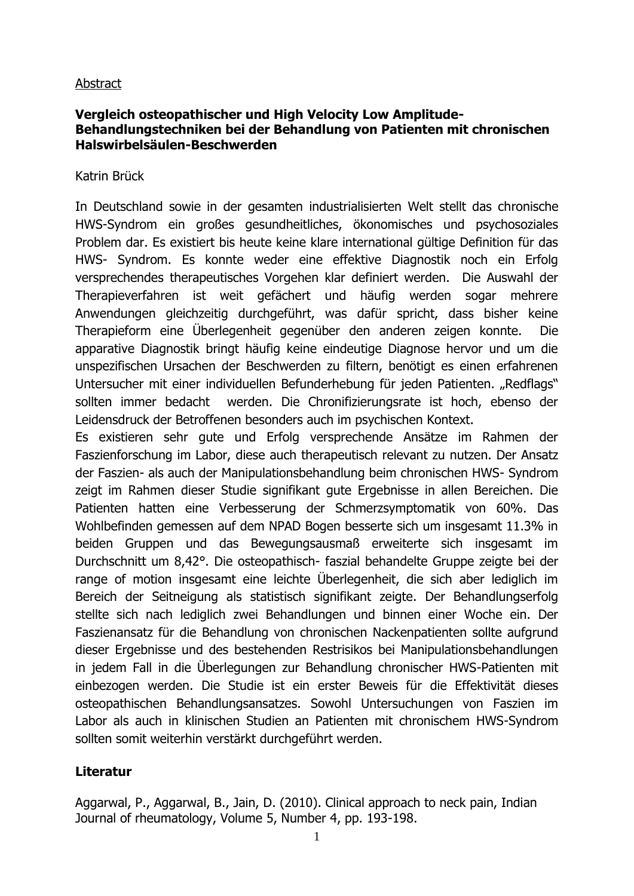## Abstract

## **Vergleich osteopathischer und High Velocity Low Amplitude-Behandlungstechniken bei der Behandlung von Patienten mit chronischen Halswirbelsäulen-Beschwerden**

Katrin Brück

In Deutschland sowie in der gesamten industrialisierten Welt stellt das chronische HWS-Syndrom ein großes gesundheitliches, ökonomisches und psychosoziales Problem dar. Es existiert bis heute keine klare international gültige Definition für das HWS- Syndrom. Es konnte weder eine effektive Diagnostik noch ein Erfolg versprechendes therapeutisches Vorgehen klar definiert werden. Die Auswahl der Therapieverfahren ist weit gefächert und häufig werden sogar mehrere Anwendungen gleichzeitig durchgeführt, was dafür spricht, dass bisher keine Therapieform eine Überlegenheit gegenüber den anderen zeigen konnte. Die apparative Diagnostik bringt häufig keine eindeutige Diagnose hervor und um die unspezifischen Ursachen der Beschwerden zu filtern, benötigt es einen erfahrenen Untersucher mit einer individuellen Befunderhebung für jeden Patienten. "Redflags" sollten immer bedacht werden. Die Chronifizierungsrate ist hoch, ebenso der Leidensdruck der Betroffenen besonders auch im psychischen Kontext.

Es existieren sehr gute und Erfolg versprechende Ansätze im Rahmen der Faszienforschung im Labor, diese auch therapeutisch relevant zu nutzen. Der Ansatz der Faszien- als auch der Manipulationsbehandlung beim chronischen HWS- Syndrom zeigt im Rahmen dieser Studie signifikant gute Ergebnisse in allen Bereichen. Die Patienten hatten eine Verbesserung der Schmerzsymptomatik von 60%. Das Wohlbefinden gemessen auf dem NPAD Bogen besserte sich um insgesamt 11.3% in beiden Gruppen und das Bewegungsausmaß erweiterte sich insgesamt im Durchschnitt um 8,42°. Die osteopathisch- faszial behandelte Gruppe zeigte bei der range of motion insgesamt eine leichte Überlegenheit, die sich aber lediglich im Bereich der Seitneigung als statistisch signifikant zeigte. Der Behandlungserfolg stellte sich nach lediglich zwei Behandlungen und binnen einer Woche ein. Der Faszienansatz für die Behandlung von chronischen Nackenpatienten sollte aufgrund dieser Ergebnisse und des bestehenden Restrisikos bei Manipulationsbehandlungen in jedem Fall in die Überlegungen zur Behandlung chronischer HWS-Patienten mit einbezogen werden. Die Studie ist ein erster Beweis für die Effektivität dieses osteopathischen Behandlungsansatzes. Sowohl Untersuchungen von Faszien im Labor als auch in klinischen Studien an Patienten mit chronischem HWS-Syndrom sollten somit weiterhin verstärkt durchgeführt werden.

## **Literatur**

Aggarwal, P., Aggarwal, B., Jain, D. (2010). Clinical approach to neck pain, Indian Journal of rheumatology, Volume 5, Number 4, pp. 193-198.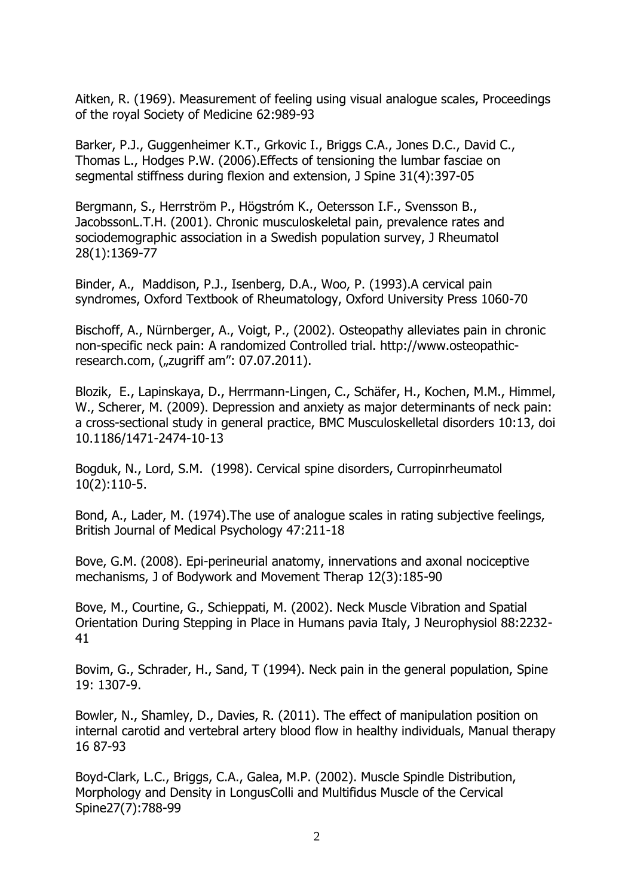Aitken, R. (1969). Measurement of feeling using visual analogue scales, Proceedings of the royal Society of Medicine 62:989-93

Barker, P.J., Guggenheimer K.T., Grkovic I., Briggs C.A., Jones D.C., David C., Thomas L., Hodges P.W. (2006).Effects of tensioning the lumbar fasciae on segmental stiffness during flexion and extension, J Spine 31(4):397-05

Bergmann, S., Herrström P., Högstróm K., Oetersson I.F., Svensson B., JacobssonL.T.H. (2001). Chronic musculoskeletal pain, prevalence rates and sociodemographic association in a Swedish population survey, J Rheumatol 28(1):1369-77

Binder, A., Maddison, P.J., Isenberg, D.A., Woo, P. (1993).A cervical pain syndromes, Oxford Textbook of Rheumatology, Oxford University Press 1060-70

Bischoff, A., Nürnberger, A., Voigt, P., (2002). Osteopathy alleviates pain in chronic non-specific neck pain: A randomized Controlled trial. http://www.osteopathicresearch.com, ("zugriff am": 07.07.2011).

Blozik, E., Lapinskaya, D., Herrmann-Lingen, C., Schäfer, H., Kochen, M.M., Himmel, W., Scherer, M. (2009). Depression and anxiety as major determinants of neck pain: a cross-sectional study in general practice, BMC Musculoskelletal disorders 10:13, doi 10.1186/1471-2474-10-13

Bogduk, N., Lord, S.M. (1998). Cervical spine disorders, Curropinrheumatol 10(2):110-5.

Bond, A., Lader, M. (1974).The use of analogue scales in rating subjective feelings, British Journal of Medical Psychology 47:211-18

Bove, G.M. (2008). Epi-perineurial anatomy, innervations and axonal nociceptive mechanisms, J of Bodywork and Movement Therap 12(3):185-90

Bove, M., Courtine, G., Schieppati, M. (2002). Neck Muscle Vibration and Spatial Orientation During Stepping in Place in Humans pavia Italy, J Neurophysiol 88:2232- 41

Bovim, G., Schrader, H., Sand, T (1994). Neck pain in the general population, Spine 19: 1307-9.

Bowler, N., Shamley, D., Davies, R. (2011). The effect of manipulation position on internal carotid and vertebral artery blood flow in healthy individuals, Manual therapy 16 87-93

Boyd-Clark, L.C., Briggs, C.A., Galea, M.P. (2002). Muscle Spindle Distribution, Morphology and Density in LongusColli and Multifidus Muscle of the Cervical Spine27(7):788-99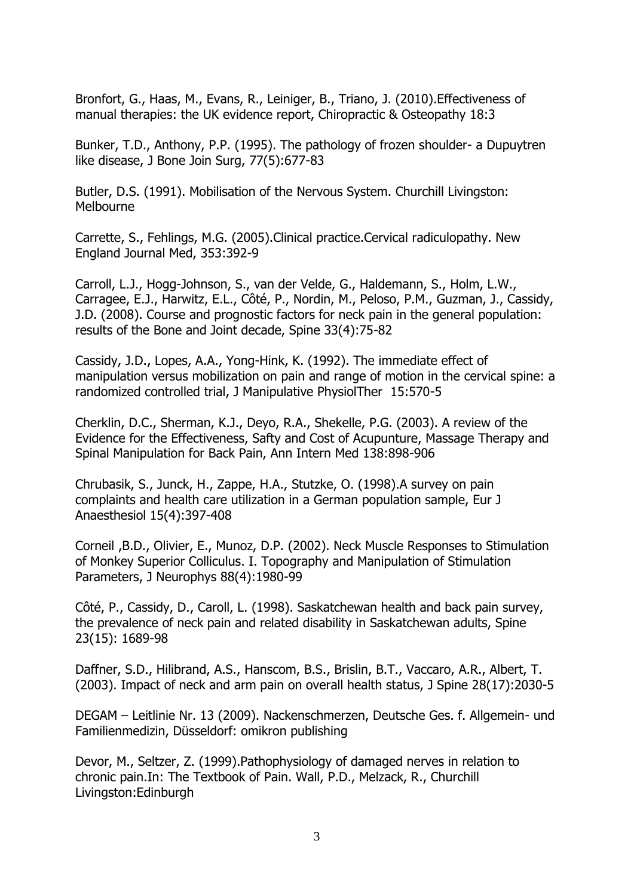Bronfort, G., Haas, M., Evans, R., Leiniger, B., Triano, J. (2010).Effectiveness of manual therapies: the UK evidence report, Chiropractic & Osteopathy 18:3

Bunker, T.D., Anthony, P.P. (1995). The pathology of frozen shoulder- a Dupuytren like disease, J Bone Join Surg, 77(5):677-83

Butler, D.S. (1991). Mobilisation of the Nervous System. Churchill Livingston: Melbourne

Carrette, S., Fehlings, M.G. (2005).Clinical practice.Cervical radiculopathy. New England Journal Med, 353:392-9

Carroll, L.J., Hogg-Johnson, S., van der Velde, G., Haldemann, S., Holm, L.W., Carragee, E.J., Harwitz, E.L., Côté, P., Nordin, M., Peloso, P.M., Guzman, J., Cassidy, J.D. (2008). Course and prognostic factors for neck pain in the general population: results of the Bone and Joint decade, Spine 33(4):75-82

Cassidy, J.D., Lopes, A.A., Yong-Hink, K. (1992). The immediate effect of manipulation versus mobilization on pain and range of motion in the cervical spine: a randomized controlled trial, J Manipulative PhysiolTher 15:570-5

Cherklin, D.C., Sherman, K.J., Deyo, R.A., Shekelle, P.G. (2003). A review of the Evidence for the Effectiveness, Safty and Cost of Acupunture, Massage Therapy and Spinal Manipulation for Back Pain, Ann Intern Med 138:898-906

Chrubasik, S., Junck, H., Zappe, H.A., Stutzke, O. (1998).A survey on pain complaints and health care utilization in a German population sample, Eur J Anaesthesiol 15(4):397-408

Corneil ,B.D., Olivier, E., Munoz, D.P. (2002). Neck Muscle Responses to Stimulation of Monkey Superior Colliculus. I. Topography and Manipulation of Stimulation Parameters, J Neurophys 88(4):1980-99

Côté, P., Cassidy, D., Caroll, L. (1998). Saskatchewan health and back pain survey, the prevalence of neck pain and related disability in Saskatchewan adults, Spine 23(15): 1689-98

Daffner, S.D., Hilibrand, A.S., Hanscom, B.S., Brislin, B.T., Vaccaro, A.R., Albert, T. (2003). Impact of neck and arm pain on overall health status, J Spine 28(17):2030-5

DEGAM – Leitlinie Nr. 13 (2009). Nackenschmerzen, Deutsche Ges. f. Allgemein- und Familienmedizin, Düsseldorf: omikron publishing

Devor, M., Seltzer, Z. (1999).Pathophysiology of damaged nerves in relation to chronic pain.In: The Textbook of Pain. Wall, P.D., Melzack, R., Churchill Livingston:Edinburgh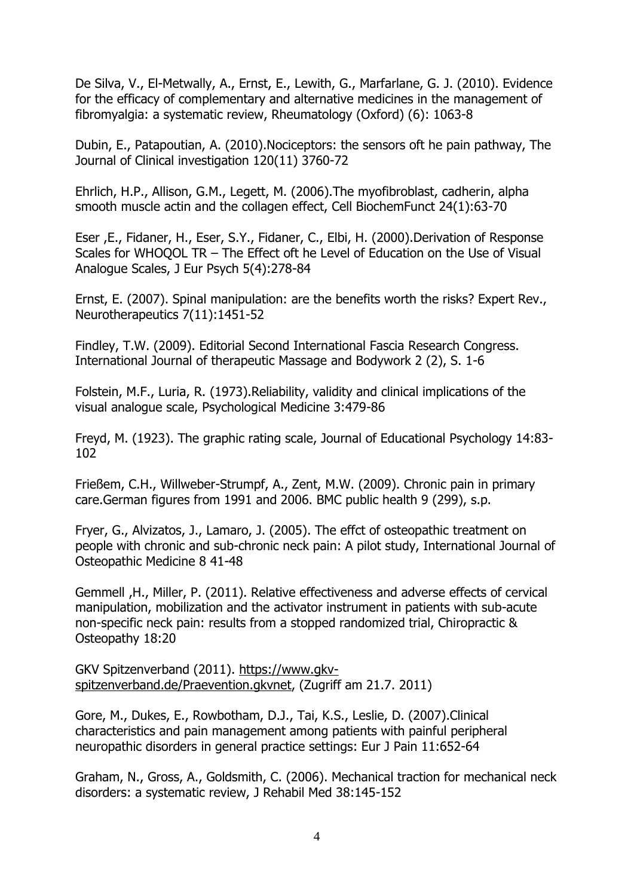De Silva, V., El-Metwally, A., Ernst, E., Lewith, G., Marfarlane, G. J. (2010). Evidence for the efficacy of complementary and alternative medicines in the management of fibromyalgia: a systematic review, Rheumatology (Oxford) (6): 1063-8

Dubin, E., Patapoutian, A. (2010).Nociceptors: the sensors oft he pain pathway, The Journal of Clinical investigation 120(11) 3760-72

Ehrlich, H.P., Allison, G.M., Legett, M. (2006).The myofibroblast, cadherin, alpha smooth muscle actin and the collagen effect, Cell BiochemFunct 24(1):63-70

Eser ,E., Fidaner, H., Eser, S.Y., Fidaner, C., Elbi, H. (2000).Derivation of Response Scales for WHOQOL TR – The Effect oft he Level of Education on the Use of Visual Analogue Scales, J Eur Psych 5(4):278-84

Ernst, E. (2007). Spinal manipulation: are the benefits worth the risks? Expert Rev., Neurotherapeutics 7(11):1451-52

Findley, T.W. (2009). Editorial Second International Fascia Research Congress. International Journal of therapeutic Massage and Bodywork 2 (2), S. 1-6

Folstein, M.F., Luria, R. (1973).Reliability, validity and clinical implications of the visual analogue scale, Psychological Medicine 3:479-86

Freyd, M. (1923). The graphic rating scale, Journal of Educational Psychology 14:83- 102

Frießem, C.H., Willweber-Strumpf, A., Zent, M.W. (2009). Chronic pain in primary care.German figures from 1991 and 2006. BMC public health 9 (299), s.p.

Fryer, G., Alvizatos, J., Lamaro, J. (2005). The effct of osteopathic treatment on people with chronic and sub-chronic neck pain: A pilot study, International Journal of Osteopathic Medicine 8 41-48

Gemmell ,H., Miller, P. (2011). Relative effectiveness and adverse effects of cervical manipulation, mobilization and the activator instrument in patients with sub-acute non-specific neck pain: results from a stopped randomized trial, Chiropractic & Osteopathy 18:20

GKV Spitzenverband (2011). [https://www.gkv](https://www.gkv-spitzenverband.de/Praevention.gkvnet)[spitzenverband.de/Praevention.gkvnet,](https://www.gkv-spitzenverband.de/Praevention.gkvnet) (Zugriff am 21.7. 2011)

Gore, M., Dukes, E., Rowbotham, D.J., Tai, K.S., Leslie, D. (2007).Clinical characteristics and pain management among patients with painful peripheral neuropathic disorders in general practice settings: Eur J Pain 11:652-64

Graham, N., Gross, A., Goldsmith, C. (2006). Mechanical traction for mechanical neck disorders: a systematic review, J Rehabil Med 38:145-152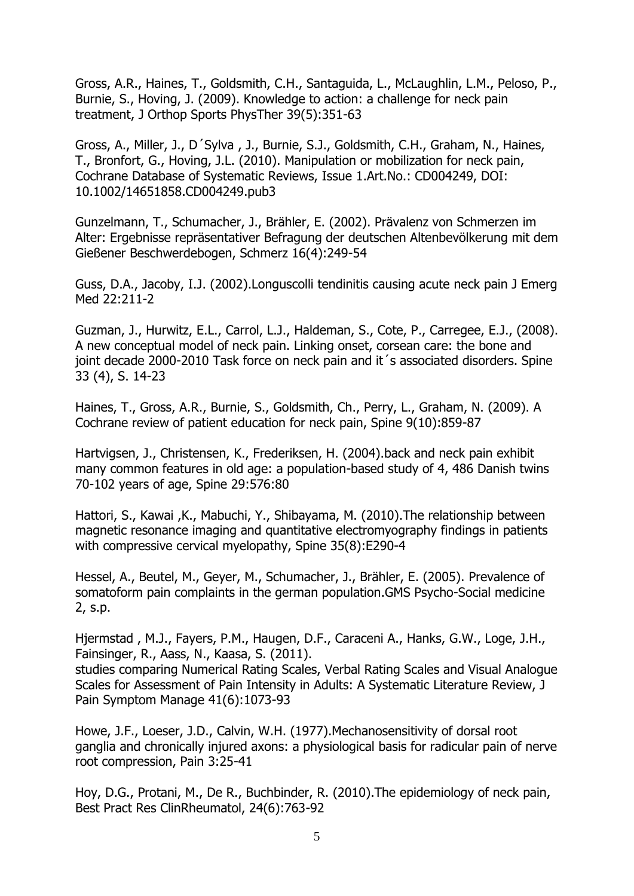Gross, A.R., Haines, T., Goldsmith, C.H., Santaguida, L., McLaughlin, L.M., Peloso, P., Burnie, S., Hoving, J. (2009). Knowledge to action: a challenge for neck pain treatment, J Orthop Sports PhysTher 39(5):351-63

Gross, A., Miller, J., D´Sylva , J., Burnie, S.J., Goldsmith, C.H., Graham, N., Haines, T., Bronfort, G., Hoving, J.L. (2010). Manipulation or mobilization for neck pain, Cochrane Database of Systematic Reviews, Issue 1.Art.No.: CD004249, DOI: 10.1002/14651858.CD004249.pub3

Gunzelmann, T., Schumacher, J., Brähler, E. (2002). Prävalenz von Schmerzen im Alter: Ergebnisse repräsentativer Befragung der deutschen Altenbevölkerung mit dem Gießener Beschwerdebogen, Schmerz 16(4):249-54

Guss, D.A., Jacoby, I.J. (2002).Longuscolli tendinitis causing acute neck pain J Emerg Med 22:211-2

Guzman, J., Hurwitz, E.L., Carrol, L.J., Haldeman, S., Cote, P., Carregee, E.J., (2008). A new conceptual model of neck pain. Linking onset, corsean care: the bone and joint decade 2000-2010 Task force on neck pain and it 's associated disorders. Spine 33 (4), S. 14-23

Haines, T., Gross, A.R., Burnie, S., Goldsmith, Ch., Perry, L., Graham, N. (2009). A Cochrane review of patient education for neck pain, Spine 9(10):859-87

Hartvigsen, J., Christensen, K., Frederiksen, H. (2004).back and neck pain exhibit many common features in old age: a population-based study of 4, 486 Danish twins 70-102 years of age, Spine 29:576:80

Hattori, S., Kawai ,K., Mabuchi, Y., Shibayama, M. (2010).The relationship between magnetic resonance imaging and quantitative electromyography findings in patients with compressive cervical myelopathy, Spine 35(8):E290-4

Hessel, A., Beutel, M., Geyer, M., Schumacher, J., Brähler, E. (2005). Prevalence of somatoform pain complaints in the german population.GMS Psycho-Social medicine 2, s.p.

Hjermstad , M.J., Fayers, P.M., Haugen, D.F., Caraceni A., Hanks, G.W., Loge, J.H., Fainsinger, R., Aass, N., Kaasa, S. (2011).

studies comparing Numerical Rating Scales, Verbal Rating Scales and Visual Analogue Scales for Assessment of Pain Intensity in Adults: A Systematic Literature Review, J Pain Symptom Manage 41(6):1073-93

Howe, J.F., Loeser, J.D., Calvin, W.H. (1977).Mechanosensitivity of dorsal root ganglia and chronically injured axons: a physiological basis for radicular pain of nerve root compression, Pain 3:25-41

Hoy, D.G., Protani, M., De R., Buchbinder, R. (2010).The epidemiology of neck pain, Best Pract Res ClinRheumatol, 24(6):763-92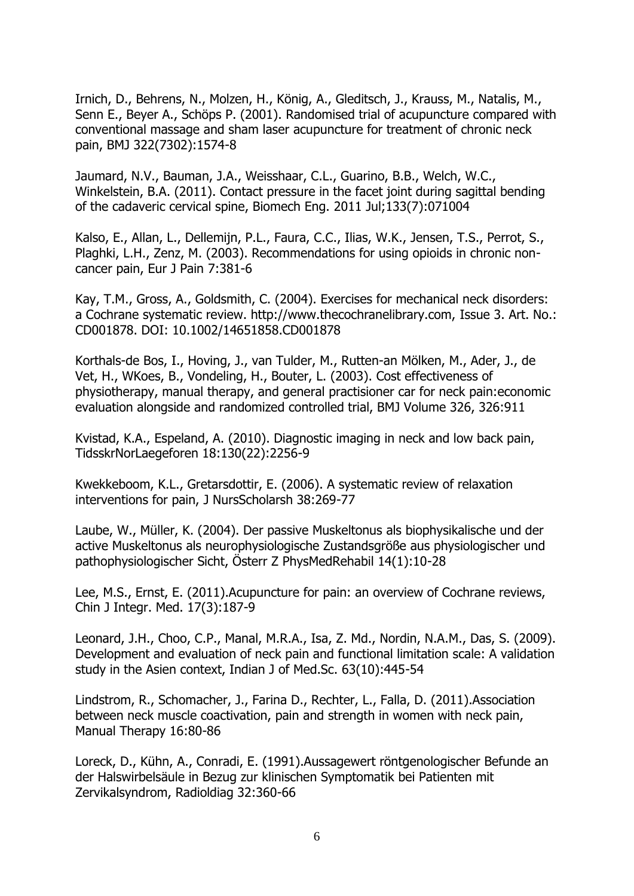Irnich, D., Behrens, N., Molzen, H., König, A., Gleditsch, J., Krauss, M., Natalis, M., Senn E., Beyer A., Schöps P. (2001). Randomised trial of acupuncture compared with conventional massage and sham laser acupuncture for treatment of chronic neck pain, BMJ 322(7302):1574-8

[Jaumard, N.V.](http://www.ncbi.nlm.nih.gov/pubmed?term=%22Jaumard%20NV%22%5BAuthor%5D), [Bauman, J.A.](http://www.ncbi.nlm.nih.gov/pubmed?term=%22Bauman%20JA%22%5BAuthor%5D), [Weisshaar, C.L.](http://www.ncbi.nlm.nih.gov/pubmed?term=%22Weisshaar%20CL%22%5BAuthor%5D), [Guarino, B.B.](http://www.ncbi.nlm.nih.gov/pubmed?term=%22Guarino%20BB%22%5BAuthor%5D), [Welch, W.C.](http://www.ncbi.nlm.nih.gov/pubmed?term=%22Welch%20WC%22%5BAuthor%5D), [Winkelstein, B.A.](http://www.ncbi.nlm.nih.gov/pubmed?term=%22Winkelstein%20BA%22%5BAuthor%5D) (2011). Contact pressure in the facet joint during sagittal bending of the cadaveric cervical spine, [Biomech Eng.](http://www.ncbi.nlm.nih.gov/pubmed/21823743) 2011 Jul;133(7):071004

Kalso, E., Allan, L., Dellemijn, P.L., Faura, C.C., Ilias, W.K., Jensen, T.S., Perrot, S., Plaghki, L.H., Zenz, M. (2003). Recommendations for using opioids in chronic noncancer pain, Eur J Pain 7:381-6

Kay, T.M., Gross, A., Goldsmith, C. (2004). Exercises for mechanical neck disorders: a Cochrane systematic review. http://www.thecochranelibrary.com, Issue 3. Art. No.: CD001878. DOI: 10.1002/14651858.CD001878

Korthals-de Bos, I., Hoving, J., van Tulder, M., Rutten-an Mölken, M., Ader, J., de Vet, H., WKoes, B., Vondeling, H., Bouter, L. (2003). Cost effectiveness of physiotherapy, manual therapy, and general practisioner car for neck pain:economic evaluation alongside and randomized controlled trial, BMJ Volume 326, 326:911

Kvistad, K.A., Espeland, A. (2010). Diagnostic imaging in neck and low back pain, TidsskrNorLaegeforen 18:130(22):2256-9

Kwekkeboom, K.L., Gretarsdottir, E. (2006). A systematic review of relaxation interventions for pain, J NursScholarsh 38:269-77

Laube, W., Müller, K. (2004). Der passive Muskeltonus als biophysikalische und der active Muskeltonus als neurophysiologische Zustandsgröße aus physiologischer und pathophysiologischer Sicht, Österr Z PhysMedRehabil 14(1):10-28

Lee, M.S., Ernst, E. (2011).Acupuncture for pain: an overview of Cochrane reviews, Chin J Integr. Med. 17(3):187-9

Leonard, J.H., Choo, C.P., Manal, M.R.A., Isa, Z. Md., Nordin, N.A.M., Das, S. (2009). Development and evaluation of neck pain and functional limitation scale: A validation study in the Asien context, Indian J of Med.Sc. 63(10):445-54

Lindstrom, R., Schomacher, J., Farina D., Rechter, L., Falla, D. (2011).Association between neck muscle coactivation, pain and strength in women with neck pain, Manual Therapy 16:80-86

Loreck, D., Kühn, A., Conradi, E. (1991).Aussagewert röntgenologischer Befunde an der Halswirbelsäule in Bezug zur klinischen Symptomatik bei Patienten mit Zervikalsyndrom, Radioldiag 32:360-66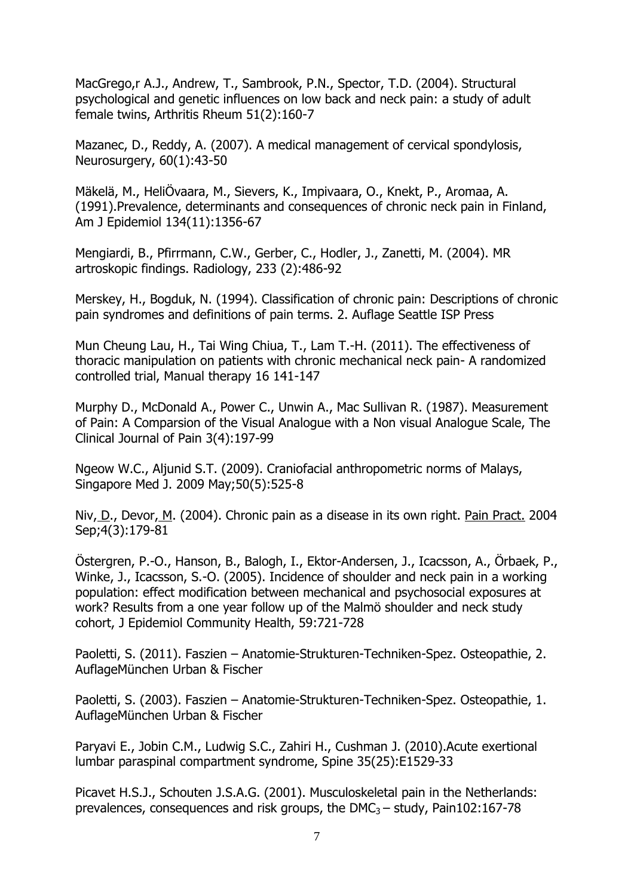MacGrego,r A.J., Andrew, T., Sambrook, P.N., Spector, T.D. (2004). Structural psychological and genetic influences on low back and neck pain: a study of adult female twins, Arthritis Rheum 51(2):160-7

Mazanec, D., Reddy, A. (2007). A medical management of cervical spondylosis, Neurosurgery, 60(1):43-50

Mäkelä, M., HeliÖvaara, M., Sievers, K., Impivaara, O., Knekt, P., Aromaa, A. (1991).Prevalence, determinants and consequences of chronic neck pain in Finland, Am J Epidemiol 134(11):1356-67

Mengiardi, B., Pfirrmann, C.W., Gerber, C., Hodler, J., Zanetti, M. (2004). MR artroskopic findings. Radiology, 233 (2):486-92

Merskey, H., Bogduk, N. (1994). Classification of chronic pain: Descriptions of chronic pain syndromes and definitions of pain terms. 2. Auflage Seattle ISP Press

Mun Cheung Lau, H., Tai Wing Chiua, T., Lam T.-H. (2011). The effectiveness of thoracic manipulation on patients with chronic mechanical neck pain- A randomized controlled trial, Manual therapy 16 141-147

Murphy D., McDonald A., Power C., Unwin A., Mac Sullivan R. (1987). Measurement of Pain: A Comparsion of the Visual Analogue with a Non visual Analogue Scale, The Clinical Journal of Pain 3(4):197-99

[Ngeow W.C.](http://www.ncbi.nlm.nih.gov/pubmed?term=%22Ngeow%20WC%22%5BAuthor%5D), [Aljunid S.T.](http://www.ncbi.nlm.nih.gov/pubmed?term=%22Aljunid%20ST%22%5BAuthor%5D) (2009). Craniofacial anthropometric norms of Malays, [Singapore Med J.](http://www.ncbi.nlm.nih.gov/pubmed/19495526) 2009 May;50(5):525-8

[Niv,](http://www.ncbi.nlm.nih.gov/pubmed?term=%22Niv%20D%22%5BAuthor%5D) D., [Devor,](http://www.ncbi.nlm.nih.gov/pubmed?term=%22Devor%20M%22%5BAuthor%5D) M. (2004). Chronic pain as a disease in its own right. [Pain Pract.](http://www.ncbi.nlm.nih.gov/pubmed/17173599) 2004 Sep;4(3):179-81

Östergren, P.-O., Hanson, B., Balogh, I., Ektor-Andersen, J., Icacsson, A., Örbaek, P., Winke, J., Icacsson, S.-O. (2005). Incidence of shoulder and neck pain in a working population: effect modification between mechanical and psychosocial exposures at work? Results from a one year follow up of the Malmö shoulder and neck study cohort, J Epidemiol Community Health, 59:721-728

Paoletti, S. (2011). Faszien – Anatomie-Strukturen-Techniken-Spez. Osteopathie, 2. AuflageMünchen Urban & Fischer

Paoletti, S. (2003). Faszien – Anatomie-Strukturen-Techniken-Spez. Osteopathie, 1. AuflageMünchen Urban & Fischer

Paryavi E., Jobin C.M., Ludwig S.C., Zahiri H., Cushman J. (2010).Acute exertional lumbar paraspinal compartment syndrome, Spine 35(25):E1529-33

Picavet H.S.J., Schouten J.S.A.G. (2001). Musculoskeletal pain in the Netherlands: prevalences, consequences and risk groups, the  $DMC_3 - study$ , Pain102:167-78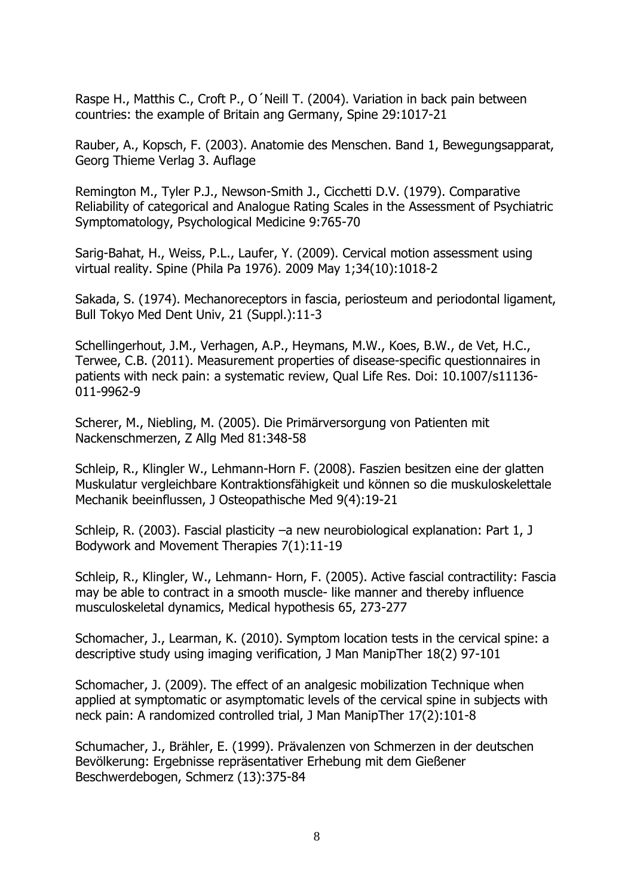Raspe H., Matthis C., Croft P., O´Neill T. (2004). Variation in back pain between countries: the example of Britain ang Germany, Spine 29:1017-21

Rauber, A., Kopsch, F. (2003). Anatomie des Menschen. Band 1, Bewegungsapparat, Georg Thieme Verlag 3. Auflage

Remington M., Tyler P.J., Newson-Smith J., Cicchetti D.V. (1979). Comparative Reliability of categorical and Analogue Rating Scales in the Assessment of Psychiatric Symptomatology, Psychological Medicine 9:765-70

[Sarig-Bahat, H.](http://www.ncbi.nlm.nih.gov/pubmed?term=%22Sarig-Bahat%20H%22%5BAuthor%5D), [Weiss, P.L.](http://www.ncbi.nlm.nih.gov/pubmed?term=%22Weiss%20PL%22%5BAuthor%5D), [Laufer, Y.](http://www.ncbi.nlm.nih.gov/pubmed?term=%22Laufer%20Y%22%5BAuthor%5D) (2009). Cervical motion assessment using virtual reality. [Spine \(Phila Pa 1976\).](http://www.ncbi.nlm.nih.gov/pubmed/19404177) 2009 May 1;34(10):1018-2

Sakada, S. (1974). Mechanoreceptors in fascia, periosteum and periodontal ligament, Bull Tokyo Med Dent Univ, 21 (Suppl.):11-3

Schellingerhout, J.M., Verhagen, A.P., Heymans, M.W., Koes, B.W., de Vet, H.C., Terwee, C.B. (2011). Measurement properties of disease-specific questionnaires in patients with neck pain: a systematic review, Qual Life Res. Doi: 10.1007/s11136- 011-9962-9

Scherer, M., Niebling, M. (2005). Die Primärversorgung von Patienten mit Nackenschmerzen, Z Allg Med 81:348-58

Schleip, R., Klingler W., Lehmann-Horn F. (2008). Faszien besitzen eine der glatten Muskulatur vergleichbare Kontraktionsfähigkeit und können so die muskuloskelettale Mechanik beeinflussen, J Osteopathische Med 9(4):19-21

Schleip, R. (2003). Fascial plasticity –a new neurobiological explanation: Part 1, J Bodywork and Movement Therapies 7(1):11-19

Schleip, R., Klingler, W., Lehmann- Horn, F. (2005). Active fascial contractility: Fascia may be able to contract in a smooth muscle- like manner and thereby influence musculoskeletal dynamics, Medical hypothesis 65, 273-277

Schomacher, J., Learman, K. (2010). Symptom location tests in the cervical spine: a descriptive study using imaging verification, J Man ManipTher 18(2) 97-101

Schomacher, J. (2009). The effect of an analgesic mobilization Technique when applied at symptomatic or asymptomatic levels of the cervical spine in subjects with neck pain: A randomized controlled trial, J Man ManipTher 17(2):101-8

Schumacher, J., Brähler, E. (1999). Prävalenzen von Schmerzen in der deutschen Bevölkerung: Ergebnisse repräsentativer Erhebung mit dem Gießener Beschwerdebogen, Schmerz (13):375-84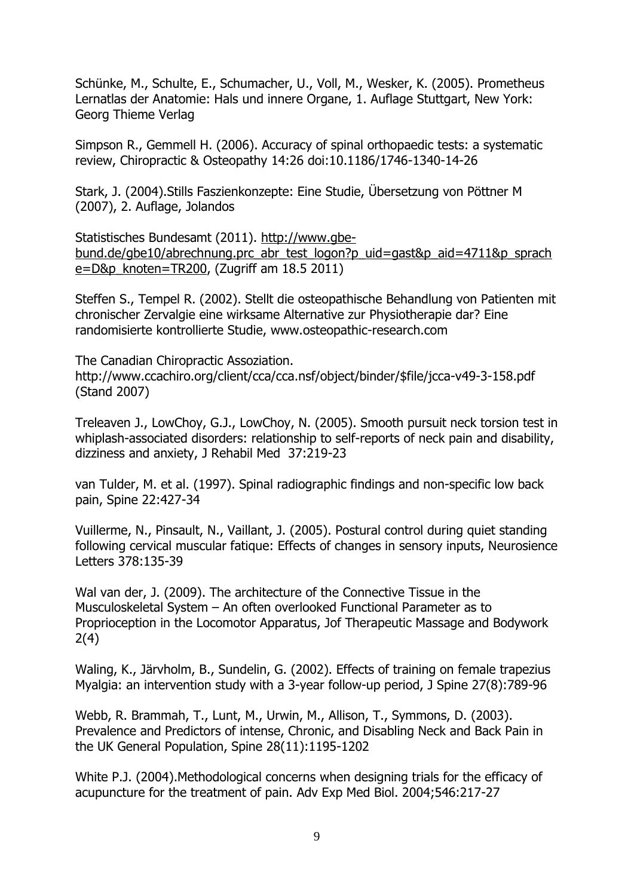Schünke, M., Schulte, E., Schumacher, U., Voll, M., Wesker, K. (2005). Prometheus Lernatlas der Anatomie: Hals und innere Organe, 1. Auflage Stuttgart, New York: Georg Thieme Verlag

Simpson R., Gemmell H. (2006). Accuracy of spinal orthopaedic tests: a systematic review, Chiropractic & Osteopathy 14:26 doi:10.1186/1746-1340-14-26

Stark, J. (2004).Stills Faszienkonzepte: Eine Studie, Übersetzung von Pöttner M (2007), 2. Auflage, Jolandos

Statistisches Bundesamt (2011). [http://www.gbe](http://www.gbe-bund.de/gbe10/abrechnung.prc_abr_test_logon?p_uid=gast&p_aid=4711&p_sprache=D&p_knoten=TR200)[bund.de/gbe10/abrechnung.prc\\_abr\\_test\\_logon?p\\_uid=gast&p\\_aid=4711&p\\_sprach](http://www.gbe-bund.de/gbe10/abrechnung.prc_abr_test_logon?p_uid=gast&p_aid=4711&p_sprache=D&p_knoten=TR200) [e=D&p\\_knoten=TR200,](http://www.gbe-bund.de/gbe10/abrechnung.prc_abr_test_logon?p_uid=gast&p_aid=4711&p_sprache=D&p_knoten=TR200) (Zugriff am 18.5 2011)

Steffen S., Tempel R. (2002). Stellt die osteopathische Behandlung von Patienten mit chronischer Zervalgie eine wirksame Alternative zur Physiotherapie dar? Eine randomisierte kontrollierte Studie, www.osteopathic-research.com

The Canadian Chiropractic Assoziation. http://www.ccachiro.org/client/cca/cca.nsf/object/binder/\$file/jcca-v49-3-158.pdf (Stand 2007)

Treleaven J., LowChoy, G.J., LowChoy, N. (2005). Smooth pursuit neck torsion test in whiplash-associated disorders: relationship to self-reports of neck pain and disability, dizziness and anxiety, J Rehabil Med 37:219-23

van Tulder, M. et al. (1997). Spinal radiographic findings and non-specific low back pain, Spine 22:427-34

Vuillerme, N., Pinsault, N., Vaillant, J. (2005). Postural control during quiet standing following cervical muscular fatique: Effects of changes in sensory inputs, Neurosience Letters 378:135-39

Wal van der, J. (2009). The architecture of the Connective Tissue in the Musculoskeletal System – An often overlooked Functional Parameter as to Proprioception in the Locomotor Apparatus, Jof Therapeutic Massage and Bodywork 2(4)

Waling, K., Järvholm, B., Sundelin, G. (2002). Effects of training on female trapezius Myalgia: an intervention study with a 3-year follow-up period, J Spine 27(8):789-96

Webb, R. Brammah, T., Lunt, M., Urwin, M., Allison, T., Symmons, D. (2003). Prevalence and Predictors of intense, Chronic, and Disabling Neck and Back Pain in the UK General Population, Spine 28(11):1195-1202

[White P.J.](http://www.ncbi.nlm.nih.gov/pubmed?term=%22White%20PJ%22%5BAuthor%5D) (2004).Methodological concerns when designing trials for the efficacy of acupuncture for the treatment of pain. [Adv Exp Med Biol.](http://www.ncbi.nlm.nih.gov/pubmed/15584377) 2004;546:217-27